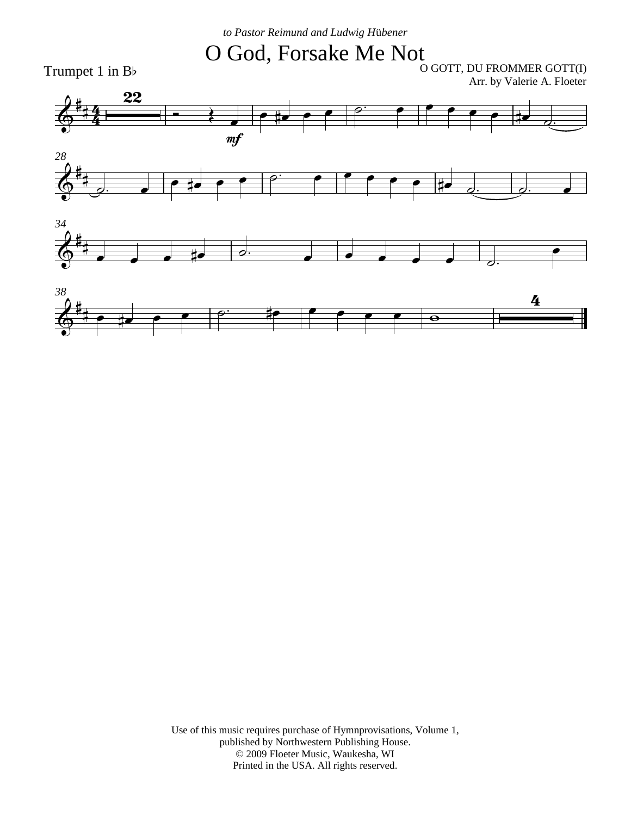O God, Forsake Me Not

Trumpet 1 in Bb

O GOTT, DU FROMMER GOTT(I) Arr. by Valerie A. Floeter

╫

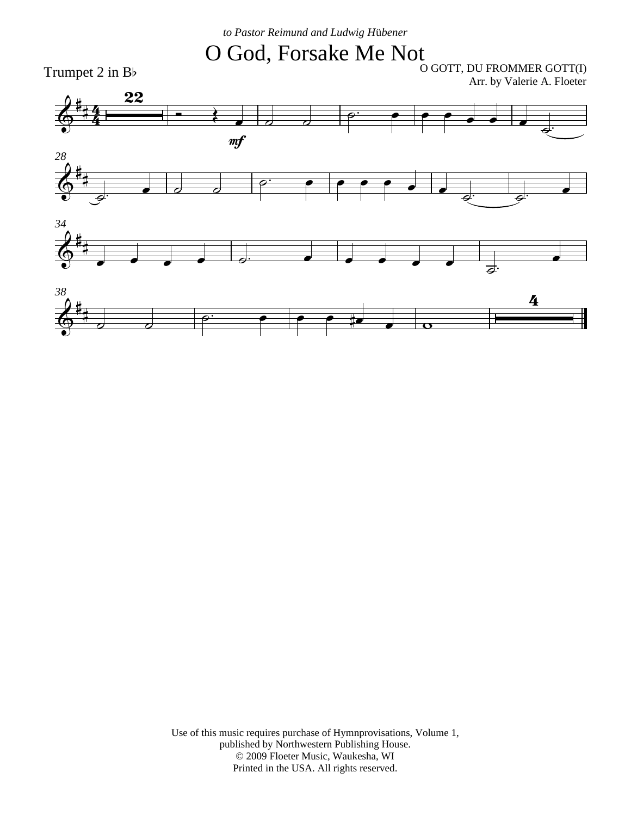## O God, Forsake Me Not

Trumpet 2 in Bb

O GOTT, DU FROMMER GOTT(I) Arr. by Valerie A. Floeter 22  $\delta^*$  $\overline{4}$  $\frac{1}{4}$  $\phi$   $\phi$   $\phi$   $\phi$   $\phi$   $\phi$  $\overrightarrow{ }$  $\frac{4}{4}$  $\begin{array}{|c|c|c|c|c|}\n\hline\n\bullet & \circ & \circ \end{array}$  $\frac{1}{\mathbf{c}}$ mf *28*  $\delta^*$  $\frac{1}{4}$  $\circ$   $\circ$   $\circ$   $\circ$   $\circ$   $\circ$  $\frac{1}{2}$  and  $\frac{1}{2}$  $\theta$   $\theta$ *34*  $\delta^*$  $\sharp$  $\overrightarrow{a}$  ,  $\overrightarrow{b}$  ,  $\overrightarrow{a}$  ,  $\overrightarrow{a}$  ,  $\overrightarrow{a}$  $\overline{e}$ . *38* 4  $\delta^*$  $\sharp$  $\phi$   $\phi$   $\phi$   $\phi$   $\phi$ ⋣  $\overline{\phantom{a}}$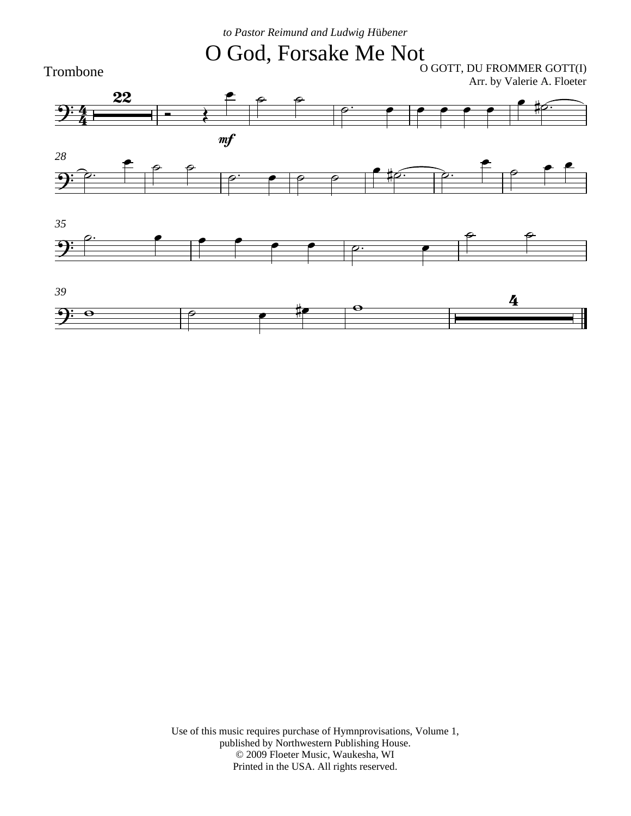## O God, Forsake Me Not